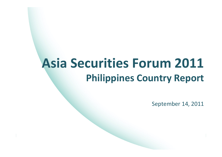# **Asia Securities Forum 2011 Philippines Country Report**

September 14, 2011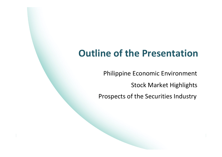### **Outline of the Presentation**

Philippine Economic Environment

Stock Market Highlights

Prospects of the Securities Industry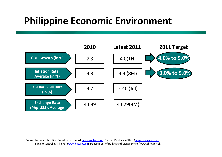## **Philippine Economic Environment**



*Source:* National Statistical Coordination Board ([www.nscb.gov.ph](http://www.nscb.gov.ph/), National Statistics Office ([www.census.gov.ph](http://www.census.gov.ph/)), Bangko Sentral ng Pilipinas ([www.bsp.gov.ph](http://www.bsp.gov.ph/)), Department of Budget and Management (www.dbm.gov.ph)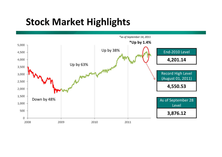

*\*as of September 14, 2011*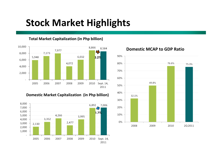#### **Total Market Capitalization (in Php billion)**



#### **Domestic Market Capitalization (in Php billion)**





#### **Domestic MCAP to GDP Ratio**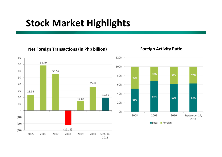#### **Net Foreign Transactions (in Php billion) Foreign Activity Ratio**



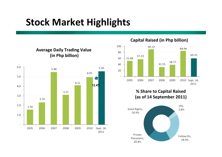

**Capital Raised (in Php billion)**



#### **% Share to Capital Raised (as of 14 September 2011)**

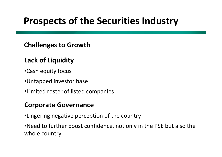### **Challenges to Growth**

### **Lack of Liquidity**

- •Cash equity focus
- •Untapped investor base
- •Limited roster of listed companies

### **Corporate Governance**

•Lingering negative perception of the country

•Need to further boost confidence, not only in the PSE but also the whole country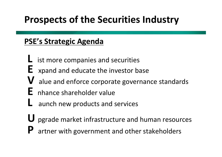### **PSE's Strategic Agenda**

- **L** ist more companies and securities
- **E** xpand and educate the investor base
- **V** alue and enforce corporate governance standards
- **E** nhance shareholder value
- **L** aunch new products and services
- **U** pgrade market infrastructure and human resources
- **P**artner with government and other stakeholders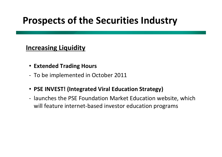### **Increasing Liquidity**

- **Extended Trading Hours**
- ‐ To be implemented in October 2011
- **PSE INVEST! (Integrated Viral Education Strategy)**
- ‐ launches the PSE Foundation Market Education website, which will feature internet‐based investor education programs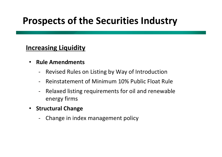### **Increasing Liquidity**

- $\bullet$  **Rule Amendments**
	- Revised Rules on Listing by Way of Introduction
	- Reinstatement of Minimum 10% Public Float Rule
	- ‐ Relaxed listing requirements for oil and renewable energy firms
- **Structural Change**
	- Change in index management policy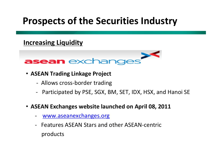### **Increasing Liquidity**



- **ASEAN Trading Linkage Project**
	- ‐ Allows cross‐border trading
	- ‐Participated by PSE, SGX, BM, SET, IDX, HSX, and Hanoi SE
- **ASEAN Exchanges website launched on April 08, 2011**
	- ‐[www.aseanexchanges.org](http://www.aseanexchanges.org/)
	- $\overline{\phantom{a}}$  Features ASEAN Stars and other ASEAN‐centric products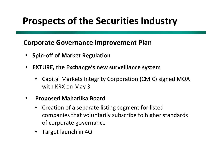### **Corporate Governance Improvement Plan**

- $\bullet$ **Spin‐off of Market Regulation**
- • **EXTURE, the Exchange's new surveillance system**
	- $\bullet$  Capital Markets Integrity Corporation (CMIC) signed MOA with KRX on May 3

#### $\bullet$ **Proposed Maharlika Board**

- $\bullet$  Creation of <sup>a</sup> separate listing segment for listed companies that voluntarily subscribe to higher standards of corporate governance
- Target launch in 4Q